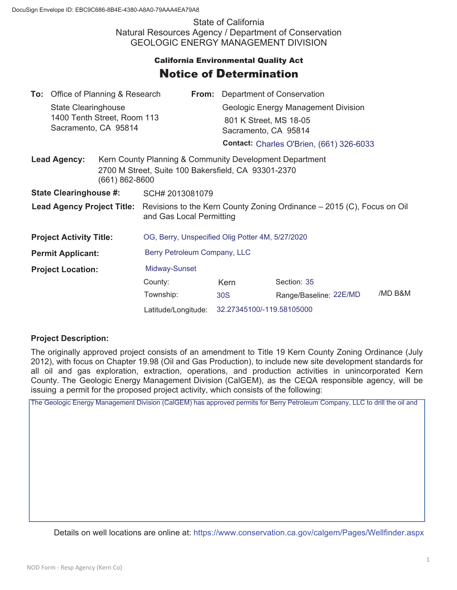State of California Natural Resources Agency / Department of Conservation GEOLOGIC ENERGY MANAGEMENT DIVISION

## **California Environmental Quality Act** Notice of Determination

|                                       | <b>To:</b> Office of Planning & Research                  |  |                                                                                                                                      |                                                                         | <b>From:</b> Department of Conservation |                        |         |
|---------------------------------------|-----------------------------------------------------------|--|--------------------------------------------------------------------------------------------------------------------------------------|-------------------------------------------------------------------------|-----------------------------------------|------------------------|---------|
|                                       | <b>State Clearinghouse</b><br>1400 Tenth Street, Room 113 |  |                                                                                                                                      |                                                                         | Geologic Energy Management Division     |                        |         |
|                                       |                                                           |  |                                                                                                                                      |                                                                         | 801 K Street, MS 18-05                  |                        |         |
| Sacramento, CA 95814                  |                                                           |  |                                                                                                                                      | Sacramento, CA 95814<br><b>Contact: Charles O'Brien, (661) 326-6033</b> |                                         |                        |         |
|                                       |                                                           |  |                                                                                                                                      |                                                                         |                                         |                        |         |
| <b>Lead Agency:</b><br>(661) 862-8600 |                                                           |  | Kern County Planning & Community Development Department<br>2700 M Street, Suite 100 Bakersfield, CA 93301-2370                       |                                                                         |                                         |                        |         |
| <b>State Clearinghouse #:</b>         |                                                           |  | SCH# 2013081079                                                                                                                      |                                                                         |                                         |                        |         |
|                                       |                                                           |  | <b>Lead Agency Project Title:</b> Revisions to the Kern County Zoning Ordinance – 2015 (C), Focus on Oil<br>and Gas Local Permitting |                                                                         |                                         |                        |         |
| <b>Project Activity Title:</b>        |                                                           |  | OG, Berry, Unspecified Olig Potter 4M, 5/27/2020                                                                                     |                                                                         |                                         |                        |         |
| <b>Permit Applicant:</b>              |                                                           |  | Berry Petroleum Company, LLC                                                                                                         |                                                                         |                                         |                        |         |
| <b>Project Location:</b>              |                                                           |  | Midway-Sunset                                                                                                                        |                                                                         |                                         |                        |         |
|                                       |                                                           |  | County:                                                                                                                              |                                                                         | Kern                                    | Section: 35            |         |
|                                       |                                                           |  | Township:                                                                                                                            |                                                                         | 30S                                     | Range/Baseline: 22E/MD | /MD B&M |
|                                       |                                                           |  | Latitude/Longitude:                                                                                                                  |                                                                         | 32.27345100/-119.58105000               |                        |         |

## **Project Description:**

The originally approved project consists of an amendment to Title 19 Kern County Zoning Ordinance (July 2012), with focus on Chapter 19.98 (Oil and Gas Production), to include new site development standards for all oil and gas exploration, extraction, operations, and production activities in unincorporated Kern County. The Geologic Energy Management Division (CalGEM), as the CEQA responsible agency, will be issuing a permit for the proposed project activity, which consists of the following:

The Geologic Energy Management Division (CalGEM) has approved permits for Berry Petroleum Company, LLC to drill the oil and

Details on well locations are online at: https://www.conservation.ca.gov/calgem/Pages/Wellfinder.aspx